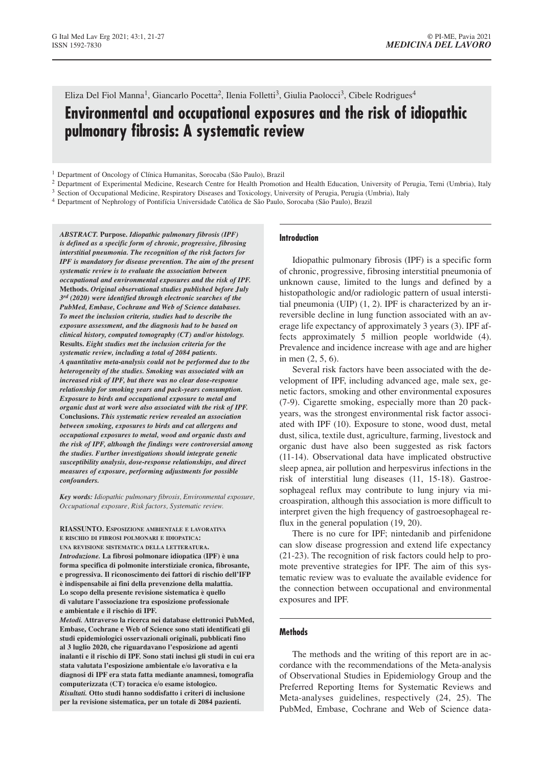# Eliza Del Fiol Manna<sup>1</sup>, Giancarlo Pocetta<sup>2</sup>, Ilenia Folletti<sup>3</sup>, Giulia Paolocci<sup>3</sup>, Cibele Rodrigues<sup>4</sup>

# **Environmental and occupational exposures and the risk of idiopathic pulmonary fibrosis: A systematic review**

- <sup>1</sup> Department of Oncology of Clínica Humanitas, Sorocaba (São Paulo), Brazil
- <sup>2</sup> Department of Experimental Medicine, Research Centre for Health Promotion and Health Education, University of Perugia, Terni (Umbria), Italy <sup>3</sup> Section of Occupational Medicine, Respiratory Diseases and Toxicology, University of Perugia, Perugia (Umbria), Italy
- <sup>4</sup> Department of Nephrology of Pontifícia Universidade Católica de São Paulo, Sorocaba (São Paulo), Brazil

*ABSTRACT.* **Purpose.** *Idiopathic pulmonary fibrosis (IPF) is defined as a specific form of chronic, progressive, fibrosing interstitial pneumonia. The recognition of the risk factors for IPF is mandatory for disease prevention. The aim of the present systematic review is to evaluate the association between occupational and environmental exposures and the risk of IPF.* **Methods.** *Original observational studies published before July 3rd (2020) were identified through electronic searches of the PubMed, Embase, Cochrane and Web of Science databases. To meet the inclusion criteria, studies had to describe the exposure assessment, and the diagnosis had to be based on clinical history, computed tomography (CT) and/or histology.* **Results.** *Eight studies met the inclusion criteria for the systematic review, including a total of 2084 patients. A quantitative meta-analysis could not be performed due to the heterogeneity of the studies. Smoking was associated with an increased risk of IPF, but there was no clear dose-response relationship for smoking years and pack-years consumption. Exposure to birds and occupational exposure to metal and organic dust at work were also associated with the risk of IPF.* **Conclusions.** *This systematic review revealed an association between smoking, exposures to birds and cat allergens and occupational exposures to metal, wood and organic dusts and the risk of IPF, although the findings were controversial among the studies. Further investigations should integrate genetic susceptibility analysis, dose-response relationships, and direct measures of exposure, performing adjustments for possible confounders.*

*Key words: Idiopathic pulmonary fibrosis, Environmental exposure, Occupational exposure, Risk factors, Systematic review.*

**RIASSUNTO. ESPOSIZIONE AMBIENTALE E LAVORATIVA E RISCHIO DI FIBROSI POLMONARI E IDIOPATICA: UNA REVISIONE SISTEMATICA DELLA LETTERATURA.** *Introduzione.* **La fibrosi polmonare idiopatica (IPF) è una forma specifica di polmonite interstiziale cronica, fibrosante, e progressiva. Il riconoscimento dei fattori di rischio dell'IFP è indispensabile ai fini della prevenzione della malattia. Lo scopo della presente revisione sistematica è quello di valutare l'associazione tra esposizione professionale e ambientale e il rischio di IPF.**

*Metodi.* **Attraverso la ricerca nei database elettronici PubMed, Embase, Cochrane e Web of Science sono stati identificati gli studi epidemiologici osservazionali originali, pubblicati fino al 3 luglio 2020, che riguardavano l'esposizione ad agenti inalanti e il rischio di IPF. Sono stati inclusi gli studi in cui era stata valutata l'esposizione ambientale e/o lavorativa e la diagnosi di IPF era stata fatta mediante anamnesi, tomografia computerizzata (CT) toracica e/o esame istologico.** *Risultati.* **Otto studi hanno soddisfatto i criteri di inclusione per la revisione sistematica, per un totale di 2084 pazienti.** 

#### **Introduction**

Idiopathic pulmonary fibrosis (IPF) is a specific form of chronic, progressive, fibrosing interstitial pneumonia of unknown cause, limited to the lungs and defined by a histopathologic and/or radiologic pattern of usual interstitial pneumonia (UIP) (1, 2). IPF is characterized by an irreversible decline in lung function associated with an average life expectancy of approximately 3 years (3). IPF affects approximately 5 million people worldwide (4). Prevalence and incidence increase with age and are higher in men (2, 5, 6).

Several risk factors have been associated with the development of IPF, including advanced age, male sex, genetic factors, smoking and other environmental exposures (7-9). Cigarette smoking, especially more than 20 packyears, was the strongest environmental risk factor associated with IPF (10). Exposure to stone, wood dust, metal dust, silica, textile dust, agriculture, farming, livestock and organic dust have also been suggested as risk factors (11-14). Observational data have implicated obstructive sleep apnea, air pollution and herpesvirus infections in the risk of interstitial lung diseases (11, 15-18). Gastroesophageal reflux may contribute to lung injury via microaspiration, although this association is more difficult to interpret given the high frequency of gastroesophageal reflux in the general population (19, 20).

There is no cure for IPF; nintedanib and pirfenidone can slow disease progression and extend life expectancy (21-23). The recognition of risk factors could help to promote preventive strategies for IPF. The aim of this systematic review was to evaluate the available evidence for the connection between occupational and environmental exposures and IPF.

## **Methods**

The methods and the writing of this report are in accordance with the recommendations of the Meta-analysis of Observational Studies in Epidemiology Group and the Preferred Reporting Items for Systematic Reviews and Meta-analyses guidelines, respectively (24, 25). The PubMed, Embase, Cochrane and Web of Science data-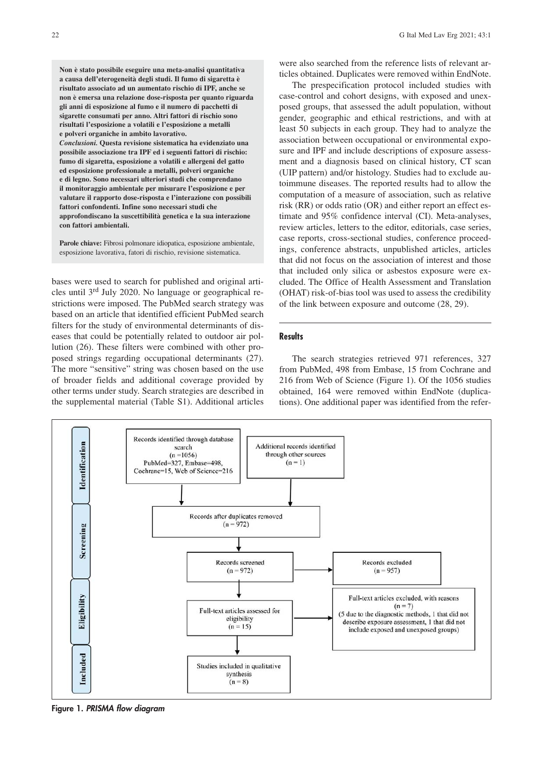**Non è stato possibile eseguire una meta-analisi quantitativa a causa dell'eterogeneità degli studi. Il fumo di sigaretta è risultato associato ad un aumentato rischio di IPF, anche se non è emersa una relazione dose-risposta per quanto riguarda gli anni di esposizione al fumo e il numero di pacchetti di sigarette consumati per anno. Altri fattori di rischio sono risultati l'esposizione a volatili e l'esposizione a metalli e polveri organiche in ambito lavorativo.** *Conclusioni.* **Questa revisione sistematica ha evidenziato una possibile associazione tra IPF ed i seguenti fattori di rischio: fumo di sigaretta, esposizione a volatili e allergeni del gatto ed esposizione professionale a metalli, polveri organiche e di legno. Sono necessari ulteriori studi che comprendano il monitoraggio ambientale per misurare l'esposizione e per valutare il rapporto dose-risposta e l'interazione con possibili fattori confondenti. Infine sono necessari studi che approfondiscano la suscettibilità genetica e la sua interazione con fattori ambientali.**

Parole chiave: Fibrosi polmonare idiopatica, esposizione ambientale, esposizione lavorativa, fatori di rischio, revisione sistematica.

bases were used to search for published and original articles until 3rd July 2020. No language or geographical restrictions were imposed. The PubMed search strategy was based on an article that identified efficient PubMed search filters for the study of environmental determinants of diseases that could be potentially related to outdoor air pollution (26). These filters were combined with other proposed strings regarding occupational determinants (27). The more "sensitive" string was chosen based on the use of broader fields and additional coverage provided by other terms under study. Search strategies are described in the supplemental material (Table S1). Additional articles were also searched from the reference lists of relevant articles obtained. Duplicates were removed within EndNote.

The prespecification protocol included studies with case-control and cohort designs, with exposed and unexposed groups, that assessed the adult population, without gender, geographic and ethical restrictions, and with at least 50 subjects in each group. They had to analyze the association between occupational or environmental exposure and IPF and include descriptions of exposure assessment and a diagnosis based on clinical history, CT scan (UIP pattern) and/or histology. Studies had to exclude autoimmune diseases. The reported results had to allow the computation of a measure of association, such as relative risk (RR) or odds ratio (OR) and either report an effect estimate and 95% confidence interval (CI). Meta-analyses, review articles, letters to the editor, editorials, case series, case reports, cross-sectional studies, conference proceedings, conference abstracts, unpublished articles, articles that did not focus on the association of interest and those that included only silica or asbestos exposure were excluded. The Office of Health Assessment and Translation (OHAT) risk-of-bias tool was used to assess the credibility of the link between exposure and outcome (28, 29).

#### **Results**

The search strategies retrieved 971 references, 327 from PubMed, 498 from Embase, 15 from Cochrane and 216 from Web of Science (Figure 1). Of the 1056 studies obtained, 164 were removed within EndNote (duplications). One additional paper was identified from the refer-



**Figure 1.** *PRISMA flow diagram*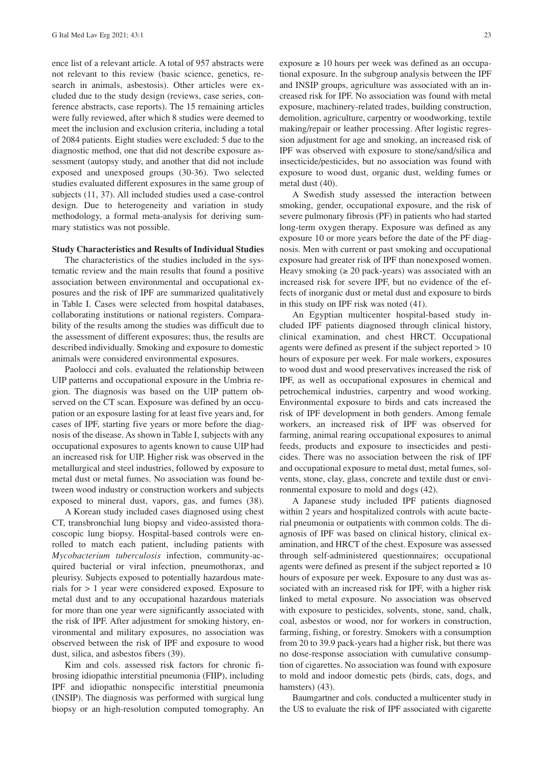ence list of a relevant article. A total of 957 abstracts were not relevant to this review (basic science, genetics, research in animals, asbestosis). Other articles were excluded due to the study design (reviews, case series, conference abstracts, case reports). The 15 remaining articles were fully reviewed, after which 8 studies were deemed to meet the inclusion and exclusion criteria, including a total of 2084 patients. Eight studies were excluded: 5 due to the diagnostic method, one that did not describe exposure assessment (autopsy study, and another that did not include exposed and unexposed groups (30-36). Two selected studies evaluated different exposures in the same group of subjects (11, 37). All included studies used a case-control design. Due to heterogeneity and variation in study methodology, a formal meta-analysis for deriving summary statistics was not possible.

#### **Study Characteristics and Results of Individual Studies**

The characteristics of the studies included in the systematic review and the main results that found a positive association between environmental and occupational exposures and the risk of IPF are summarized qualitatively in Table I. Cases were selected from hospital databases, collaborating institutions or national registers. Comparability of the results among the studies was difficult due to the assessment of different exposures; thus, the results are described individually. Smoking and exposure to domestic animals were considered environmental exposures.

Paolocci and cols. evaluated the relationship between UIP patterns and occupational exposure in the Umbria region. The diagnosis was based on the UIP pattern observed on the CT scan. Exposure was defined by an occupation or an exposure lasting for at least five years and, for cases of IPF, starting five years or more before the diagnosis of the disease. As shown in Table I, subjects with any occupational exposures to agents known to cause UIP had an increased risk for UIP. Higher risk was observed in the metallurgical and steel industries, followed by exposure to metal dust or metal fumes. No association was found between wood industry or construction workers and subjects exposed to mineral dust, vapors, gas, and fumes (38).

A Korean study included cases diagnosed using chest CT, transbronchial lung biopsy and video-assisted thoracoscopic lung biopsy. Hospital-based controls were enrolled to match each patient, including patients with *Mycobacterium tuberculosis* infection, community-acquired bacterial or viral infection, pneumothorax, and pleurisy. Subjects exposed to potentially hazardous materials for > 1 year were considered exposed. Exposure to metal dust and to any occupational hazardous materials for more than one year were significantly associated with the risk of IPF. After adjustment for smoking history, environmental and military exposures, no association was observed between the risk of IPF and exposure to wood dust, silica, and asbestos fibers (39).

Kim and cols. assessed risk factors for chronic fibrosing idiopathic interstitial pneumonia (FIIP), including IPF and idiopathic nonspecific interstitial pneumonia (INSIP). The diagnosis was performed with surgical lung biopsy or an high-resolution computed tomography. An exposure  $\geq 10$  hours per week was defined as an occupational exposure. In the subgroup analysis between the IPF and INSIP groups, agriculture was associated with an increased risk for IPF. No association was found with metal exposure, machinery-related trades, building construction, demolition, agriculture, carpentry or woodworking, textile making/repair or leather processing. After logistic regression adjustment for age and smoking, an increased risk of IPF was observed with exposure to stone/sand/silica and insecticide/pesticides, but no association was found with exposure to wood dust, organic dust, welding fumes or metal dust (40).

A Swedish study assessed the interaction between smoking, gender, occupational exposure, and the risk of severe pulmonary fibrosis (PF) in patients who had started long-term oxygen therapy. Exposure was defined as any exposure 10 or more years before the date of the PF diagnosis. Men with current or past smoking and occupational exposure had greater risk of IPF than nonexposed women. Heavy smoking  $( \geq 20 \text{ pack-years})$  was associated with an increased risk for severe IPF, but no evidence of the effects of inorganic dust or metal dust and exposure to birds in this study on IPF risk was noted (41).

An Egyptian multicenter hospital-based study included IPF patients diagnosed through clinical history, clinical examination, and chest HRCT. Occupational agents were defined as present if the subject reported > 10 hours of exposure per week. For male workers, exposures to wood dust and wood preservatives increased the risk of IPF, as well as occupational exposures in chemical and petrochemical industries, carpentry and wood working. Environmental exposure to birds and cats increased the risk of IPF development in both genders. Among female workers, an increased risk of IPF was observed for farming, animal rearing occupational exposures to animal feeds, products and exposure to insecticides and pesticides. There was no association between the risk of IPF and occupational exposure to metal dust, metal fumes, solvents, stone, clay, glass, concrete and textile dust or environmental exposure to mold and dogs (42).

A Japanese study included IPF patients diagnosed within 2 years and hospitalized controls with acute bacterial pneumonia or outpatients with common colds. The diagnosis of IPF was based on clinical history, clinical examination, and HRCT of the chest. Exposure was assessed through self-administered questionnaires; occupational agents were defined as present if the subject reported  $\geq 10$ hours of exposure per week. Exposure to any dust was associated with an increased risk for IPF, with a higher risk linked to metal exposure. No association was observed with exposure to pesticides, solvents, stone, sand, chalk, coal, asbestos or wood, nor for workers in construction, farming, fishing, or forestry. Smokers with a consumption from 20 to 39.9 pack-years had a higher risk, but there was no dose-response association with cumulative consumption of cigarettes. No association was found with exposure to mold and indoor domestic pets (birds, cats, dogs, and hamsters) (43).

Baumgartner and cols. conducted a multicenter study in the US to evaluate the risk of IPF associated with cigarette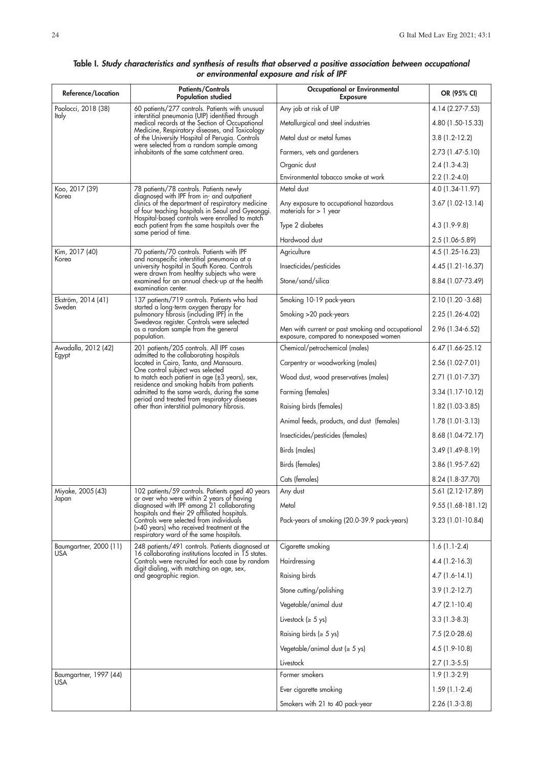#### **Reference/Location Patients/Controls Occupational or Environmental OR (95% CI) Population studied Exposure** Paolocci, 2018 (38) 60 patients/277 controls. Patients with unusual Any job at risk of UIP 4.14 (2.27-7.53) 61 risk of UIP Italy interstitial pneumonia (UIP) identified through medical records at the Section of Occupational Metallurgical and steel industries 4.80 (1.50-15.33) Medicine, Respiratory diseases, and Toxicology of the University Hospital of Perugia. Controls Metal dust or metal fumes 3.8 (1.2-12.2) were selected from a random sample among inhabitants of the same catchment area. Farmers, vets and gardeners 2.73 (1.47-5.10) Organic dust 2.4 (1.3-4.3) Environmental tobacco smoke at work 2.2 (1.2-4.0) Koo, 2017 (39) The Research of Table 1.34-11.97) 78 patients/78 controls. Patients newly Metal dust Korea (1.34-11.97) 78 patients newly Korea (1.34-11.97) diagnosed with IPF from in- and outpatient clinics of the department of respiratory medicine Any exposure to occupational hazardous 3.67 (1.02-13.14) of four teaching hospitals in Seoul and Gyeonggi. | materials for > 1 year ot tour teaching hospitals in Seoul and Gyeonggi. | materials tor > 1 year Hospital-based controls were enrolled to match each patient from the same hospitals over the  $\qquad \qquad |$  Type 2 diabetes  $\qquad \qquad |$  4.3 (1.9-9.8) same period of time. Hardwood dust 2.5 (1.06-5.89) Kim, 2017 (40) 70 patients/70 controls. Patients with IPF Agriculture 4.5 (1.25-16.23) Korea and nonspecific interstitial pneumonia at a university hospital in South Korea. Controls Insecticides/pesticides 4.45 (1.21-16.37) were drawn from healthy subjects who were examined for an annual check-up at the health Stone/sand/silica 8.84 (1.07-73.49) examination center. Ekström, 2014 (41) 137 patients/719 controls. Patients who had Smoking 10-19 pack-years 2.10 (1.20 -3.68)<br>Sweden 1990 started a long-term oxyaen therapy for Sweden started a long-term oxygen therapy for pulmonary fibrosis (including IPF) in the Smoking >20 pack-years 2.25 (1.26-4.02) Swedevox register. Controls were selected as a random sample from the general Men with current or past smoking and occupational 2.96 (1.34-6.52) population. exposure, compared to nonexposed women Awadalla, 2012 (42) 201 patients/205 controls. All IPF cases Chemical/petrochemical (males) 6.47 (1.66-25.12 Egypt admitted to the collaborating hospitals located in Cairo, Tanta, and Mansoura. Carpentry or woodworking (males) 2.56 (1.02-7.01) One control subject was selected to match each patient in age (±3 years), sex, Wood dust, wood preservatives (males) 2.71 (1.01-7.37) residence and smoking habits from patients admitted to the same wards, during the same Farming (temales) states and the same for 1.17-10.12) period and treated from respiratory diseases other than interstitial pulmonary fibrosis. (Raising birds (females) 1.82 (1.03-3.85) Animal feeds, products, and dust (females) | 1.78 (1.01-3.13) Insecticides/pesticides (females) 8.68 (1.04-72.17) Birds (males) 3.49 (1.49-8.19) Birds (females) 3.86 (1.95-7.62) Cats (females) 8.24 (1.8-37.70) Miyake, 2005 (43) 102 patients/59 controls. Patients aged 40 years Any dust 5.61 (2.12-17.89)<br>Japan Japan St. St. 1 (2.12-17.89) Japan or over who were within 2 years of having diagnosed with IPF among 21 collaborating | Metal | 9.55 (1.68-181.12) hospitals and their 29 affiliated hospitals. Controls were selected from individuals Pack-years of smoking (20.0-39.9 pack-years) 3.23 (1.01-10.84) (>40 years) who received treatment at the respiratory ward of the same hospitals. Baumgartner, 2000 (11) 248 patients/491 controls. Patients diagnosed at Cigarette smoking 1.6 (1.1-2.4)<br>USA 16 collaborating institutions located in 15 states. USA 16 collaborating institutions located in 15 states. Controls were recruited for each case by random Hairdressing 4.4 (1.2-16.3) digit dialing, with matching on age, sex, and geographic region. Raising birds 4.7 (1.6-14.1) Stone cutting/polishing 3.9 (1.2-12.7) Vegetable/animal dust  $4.7$  (2.1-10.4) Livestock ( $\geq 5$  ys) 3.3 (1.3-8.3) Raising birds ( $\ge 5$  ys) 7.5 (2.0-28.6) Vegetable/animal dust  $( \ge 5 \text{ y})$   $\qquad \qquad$   $\qquad$   $\qquad$   $\qquad$   $\qquad$   $\qquad$   $\qquad$   $\qquad$   $\qquad$   $\qquad$   $\qquad$   $\qquad$   $\qquad$   $\qquad$   $\qquad$   $\qquad$   $\qquad$   $\qquad$   $\qquad$   $\qquad$   $\qquad$   $\qquad$   $\qquad$   $\qquad$   $\qquad$   $\qquad$   $\qquad$   $\qquad$   $\qquad$   $\qquad$   $\q$ Livestock 2.7 (1.3-5.5) Baumgartner, 1997 (44) Research Contract Contract Contract Contract Contract Contract Contract Contract Contract Contract Contract Contract Contract Contract Contract Contract Contract Contract Contract Contract Contract C USA

Ever cigarette smoking and the 1.59 (1.1-2.4) Smokers with 21 to 40 pack-year 2.26 (1.3-3.8)

## **Table I.** *Study characteristics and synthesis of results that observed a positive association between occupational or environmental exposure and risk of IPF*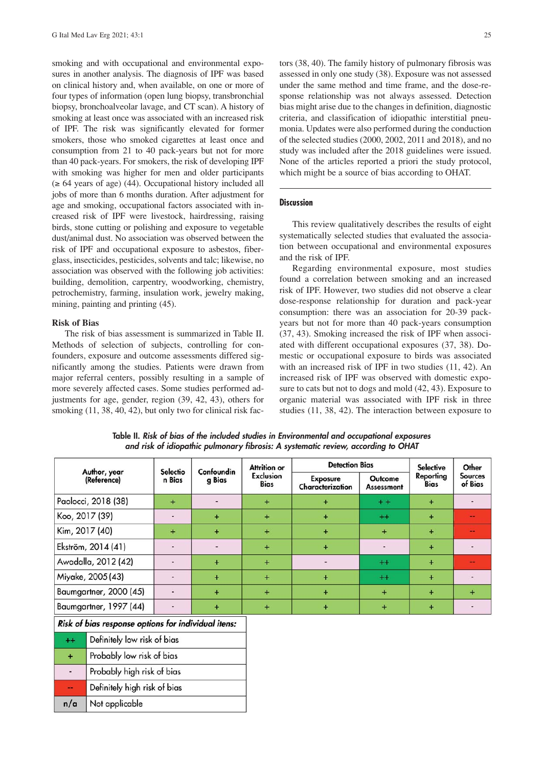smoking and with occupational and environmental exposures in another analysis. The diagnosis of IPF was based on clinical history and, when available, on one or more of four types of information (open lung biopsy, transbronchial biopsy, bronchoalveolar lavage, and CT scan). A history of smoking at least once was associated with an increased risk of IPF. The risk was significantly elevated for former smokers, those who smoked cigarettes at least once and consumption from 21 to 40 pack-years but not for more than 40 pack-years. For smokers, the risk of developing IPF with smoking was higher for men and older participants  $(\geq 64$  years of age) (44). Occupational history included all jobs of more than 6 months duration. After adjustment for age and smoking, occupational factors associated with increased risk of IPF were livestock, hairdressing, raising birds, stone cutting or polishing and exposure to vegetable dust/animal dust. No association was observed between the risk of IPF and occupational exposure to asbestos, fiberglass, insecticides, pesticides, solvents and talc; likewise, no association was observed with the following job activities: building, demolition, carpentry, woodworking, chemistry, petrochemistry, farming, insulation work, jewelry making, mining, painting and printing (45).

## **Risk of Bias**

The risk of bias assessment is summarized in Table II. Methods of selection of subjects, controlling for confounders, exposure and outcome assessments differed significantly among the studies. Patients were drawn from major referral centers, possibly resulting in a sample of more severely affected cases. Some studies performed adjustments for age, gender, region (39, 42, 43), others for smoking  $(11, 38, 40, 42)$ , but only two for clinical risk factors (38, 40). The family history of pulmonary fibrosis was assessed in only one study (38). Exposure was not assessed under the same method and time frame, and the dose-response relationship was not always assessed. Detection bias might arise due to the changes in definition, diagnostic criteria, and classification of idiopathic interstitial pneumonia. Updates were also performed during the conduction of the selected studies (2000, 2002, 2011 and 2018), and no study was included after the 2018 guidelines were issued. None of the articles reported a priori the study protocol, which might be a source of bias according to OHAT.

## **Discussion**

This review qualitatively describes the results of eight systematically selected studies that evaluated the association between occupational and environmental exposures and the risk of IPF.

Regarding environmental exposure, most studies found a correlation between smoking and an increased risk of IPF. However, two studies did not observe a clear dose-response relationship for duration and pack-year consumption: there was an association for 20-39 packyears but not for more than 40 pack-years consumption (37, 43). Smoking increased the risk of IPF when associated with different occupational exposures (37, 38). Domestic or occupational exposure to birds was associated with an increased risk of IPF in two studies (11, 42). An increased risk of IPF was observed with domestic exposure to cats but not to dogs and mold (42, 43). Exposure to organic material was associated with IPF risk in three studies (11, 38, 42). The interaction between exposure to

| Author, year<br>(Reference)                         |                              | Selectio<br>n Bias | Confoundin<br>g Bias | Attrition or<br><b>Exclusion</b><br><b>Bias</b> | <b>Detection Bias</b>               |                              | <b>Selective</b>  | Other                     |
|-----------------------------------------------------|------------------------------|--------------------|----------------------|-------------------------------------------------|-------------------------------------|------------------------------|-------------------|---------------------------|
|                                                     |                              |                    |                      |                                                 | <b>Exposure</b><br>Characterization | Outcome<br><b>Assessment</b> | Reporting<br>Bias | <b>Sources</b><br>of Bias |
| Paolocci, 2018 (38)                                 |                              | $\ddot{}$          |                      | $\ddot{}$                                       | $\ddot{}$                           | $+ +$                        | $\ddot{}$         | ۰                         |
| Koo, 2017 (39)                                      |                              | $\blacksquare$     | $+$                  | $+$                                             | $+$                                 | $^{++}$                      | $+$               | --                        |
| Kim, 2017 (40)                                      |                              | $\ddot{}$          | $+$                  | $+$                                             | $+$                                 | $+$                          | $+$               | --                        |
| Ekström, 2014 (41)                                  |                              | ٠                  |                      | $\ddot{}$                                       | $+$                                 | $\frac{1}{2}$                | $+$               | ۰                         |
| Awadalla, 2012 (42)                                 |                              | $\blacksquare$     | $+$                  | $+$                                             | $\frac{1}{2}$                       | $^{++}$                      | $+$               | --                        |
| Miyake, 2005 (43)                                   |                              | $\frac{1}{2}$      | $+$                  | $\ddot{}$                                       | $+$                                 | $^{++}$                      | $+$               |                           |
| Baumgartner, 2000 (45)                              |                              | ٠                  | $\ddot{}$            | $\ddot{}$                                       | $+$                                 | $\ddot{}$                    | $\ddot{}$         | $\ddot{}$                 |
| Baumgartner, 1997 (44)                              |                              |                    | $\ddot{}$            | $\ddot{}$                                       | $+$                                 | $+$                          | $+$               |                           |
| Risk of bias response options for individual itens: |                              |                    |                      |                                                 |                                     |                              |                   |                           |
| $++$                                                | Definitely low risk of bias  |                    |                      |                                                 |                                     |                              |                   |                           |
| $\ddot{}$                                           | Probably low risk of bias    |                    |                      |                                                 |                                     |                              |                   |                           |
| $\overline{\phantom{a}}$                            | Probably high risk of bias   |                    |                      |                                                 |                                     |                              |                   |                           |
| --                                                  | Definitely high risk of bias |                    |                      |                                                 |                                     |                              |                   |                           |
| n/a                                                 | Not applicable               |                    |                      |                                                 |                                     |                              |                   |                           |

**Table II.** *Risk of bias of the included studies in Environmental and occupational exposures and risk of idiopathic pulmonary fibrosis: A systematic review, according to OHAT*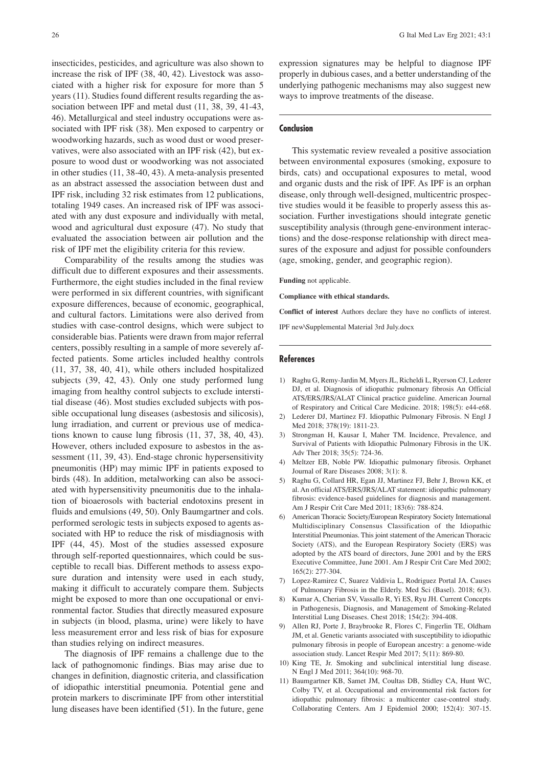insecticides, pesticides, and agriculture was also shown to increase the risk of IPF (38, 40, 42). Livestock was associated with a higher risk for exposure for more than 5 years (11). Studies found different results regarding the association between IPF and metal dust (11, 38, 39, 41-43, 46). Metallurgical and steel industry occupations were associated with IPF risk (38). Men exposed to carpentry or woodworking hazards, such as wood dust or wood preservatives, were also associated with an IPF risk (42), but exposure to wood dust or woodworking was not associated in other studies (11, 38-40, 43). A meta-analysis presented as an abstract assessed the association between dust and IPF risk, including 32 risk estimates from 12 publications, totaling 1949 cases. An increased risk of IPF was associated with any dust exposure and individually with metal, wood and agricultural dust exposure (47). No study that evaluated the association between air pollution and the risk of IPF met the eligibility criteria for this review.

Comparability of the results among the studies was difficult due to different exposures and their assessments. Furthermore, the eight studies included in the final review were performed in six different countries, with significant exposure differences, because of economic, geographical, and cultural factors. Limitations were also derived from studies with case-control designs, which were subject to considerable bias. Patients were drawn from major referral centers, possibly resulting in a sample of more severely affected patients. Some articles included healthy controls (11, 37, 38, 40, 41), while others included hospitalized subjects (39, 42, 43). Only one study performed lung imaging from healthy control subjects to exclude interstitial disease (46). Most studies excluded subjects with possible occupational lung diseases (asbestosis and silicosis), lung irradiation, and current or previous use of medications known to cause lung fibrosis (11, 37, 38, 40, 43). However, others included exposure to asbestos in the assessment (11, 39, 43). End-stage chronic hypersensitivity pneumonitis (HP) may mimic IPF in patients exposed to birds (48). In addition, metalworking can also be associated with hypersensitivity pneumonitis due to the inhalation of bioaerosols with bacterial endotoxins present in fluids and emulsions (49, 50). Only Baumgartner and cols. performed serologic tests in subjects exposed to agents associated with HP to reduce the risk of misdiagnosis with IPF (44, 45). Most of the studies assessed exposure through self-reported questionnaires, which could be susceptible to recall bias. Different methods to assess exposure duration and intensity were used in each study, making it difficult to accurately compare them. Subjects might be exposed to more than one occupational or environmental factor. Studies that directly measured exposure in subjects (in blood, plasma, urine) were likely to have less measurement error and less risk of bias for exposure than studies relying on indirect measures.

The diagnosis of IPF remains a challenge due to the lack of pathognomonic findings. Bias may arise due to changes in definition, diagnostic criteria, and classification of idiopathic interstitial pneumonia. Potential gene and protein markers to discriminate IPF from other interstitial lung diseases have been identified (51). In the future, gene expression signatures may be helpful to diagnose IPF properly in dubious cases, and a better understanding of the underlying pathogenic mechanisms may also suggest new ways to improve treatments of the disease.

## **Conclusion**

This systematic review revealed a positive association between environmental exposures (smoking, exposure to birds, cats) and occupational exposures to metal, wood and organic dusts and the risk of IPF. As IPF is an orphan disease, only through well-designed, multicentric prospective studies would it be feasible to properly assess this association. Further investigations should integrate genetic susceptibility analysis (through gene-environment interactions) and the dose-response relationship with direct measures of the exposure and adjust for possible confounders (age, smoking, gender, and geographic region).

**Funding** not applicable.

**Compliance with ethical standards.**

**Conflict of interest** Authors declare they have no conflicts of interest.

IPF new\Supplemental Material 3rd July.docx

#### **References**

- 1) Raghu G, Remy-Jardin M, Myers JL, Richeldi L, Ryerson CJ, Lederer DJ, et al. Diagnosis of idiopathic pulmonary fibrosis An Official ATS/ERS/JRS/ALAT Clinical practice guideline. American Journal of Respiratory and Critical Care Medicine. 2018; 198(5): e44-e68.
- 2) Lederer DJ, Martinez FJ. Idiopathic Pulmonary Fibrosis. N Engl J Med 2018; 378(19): 1811-23.
- 3) Strongman H, Kausar I, Maher TM. Incidence, Prevalence, and Survival of Patients with Idiopathic Pulmonary Fibrosis in the UK. Adv Ther 2018; 35(5): 724-36.
- 4) Meltzer EB, Noble PW. Idiopathic pulmonary fibrosis. Orphanet Journal of Rare Diseases 2008; 3(1): 8.
- 5) Raghu G, Collard HR, Egan JJ, Martinez FJ, Behr J, Brown KK, et al. An official ATS/ERS/JRS/ALAT statement: idiopathic pulmonary fibrosis: evidence-based guidelines for diagnosis and management. Am J Respir Crit Care Med 2011; 183(6): 788-824.
- 6) American Thoracic Society/European Respiratory Society International Multidisciplinary Consensus Classification of the Idiopathic Interstitial Pneumonias. This joint statement of the American Thoracic Society (ATS), and the European Respiratory Society (ERS) was adopted by the ATS board of directors, June 2001 and by the ERS Executive Committee, June 2001. Am J Respir Crit Care Med 2002; 165(2): 277-304.
- 7) Lopez-Ramirez C, Suarez Valdivia L, Rodriguez Portal JA. Causes of Pulmonary Fibrosis in the Elderly. Med Sci (Basel). 2018; 6(3).
- 8) Kumar A, Cherian SV, Vassallo R, Yi ES, Ryu JH. Current Concepts in Pathogenesis, Diagnosis, and Management of Smoking-Related Interstitial Lung Diseases. Chest 2018; 154(2): 394-408.
- 9) Allen RJ, Porte J, Braybrooke R, Flores C, Fingerlin TE, Oldham JM, et al. Genetic variants associated with susceptibility to idiopathic pulmonary fibrosis in people of European ancestry: a genome-wide association study. Lancet Respir Med 2017; 5(11): 869-80.
- 10) King TE, Jr. Smoking and subclinical interstitial lung disease. N Engl J Med 2011; 364(10): 968-70.
- 11) Baumgartner KB, Samet JM, Coultas DB, Stidley CA, Hunt WC, Colby TV, et al. Occupational and environmental risk factors for idiopathic pulmonary fibrosis: a multicenter case-control study. Collaborating Centers. Am J Epidemiol 2000; 152(4): 307-15.